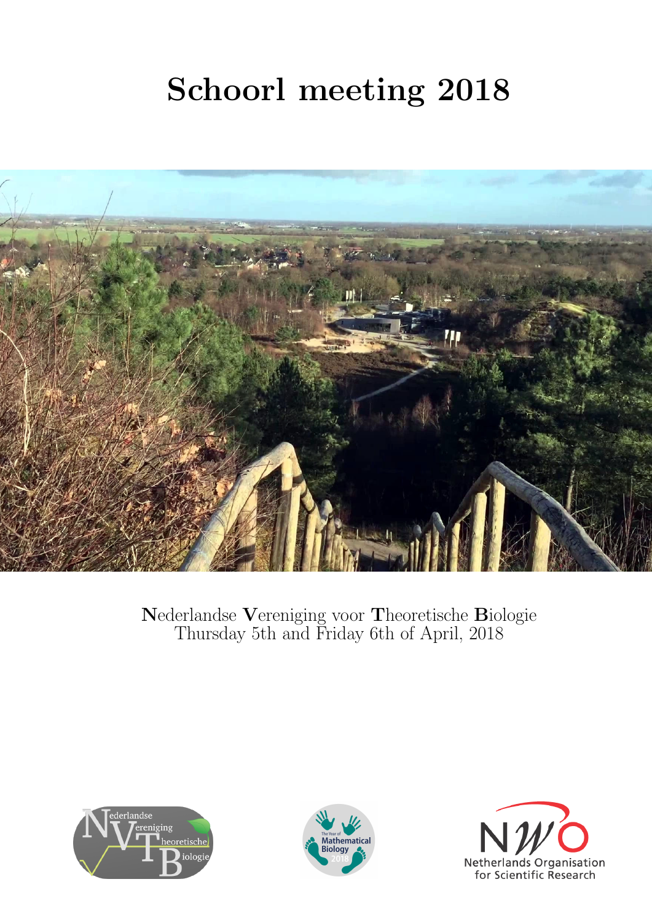# Schoorl meeting 2018



Nederlandse Vereniging voor Theoretische Biologie Thursday 5th and Friday 6th of April, 2018





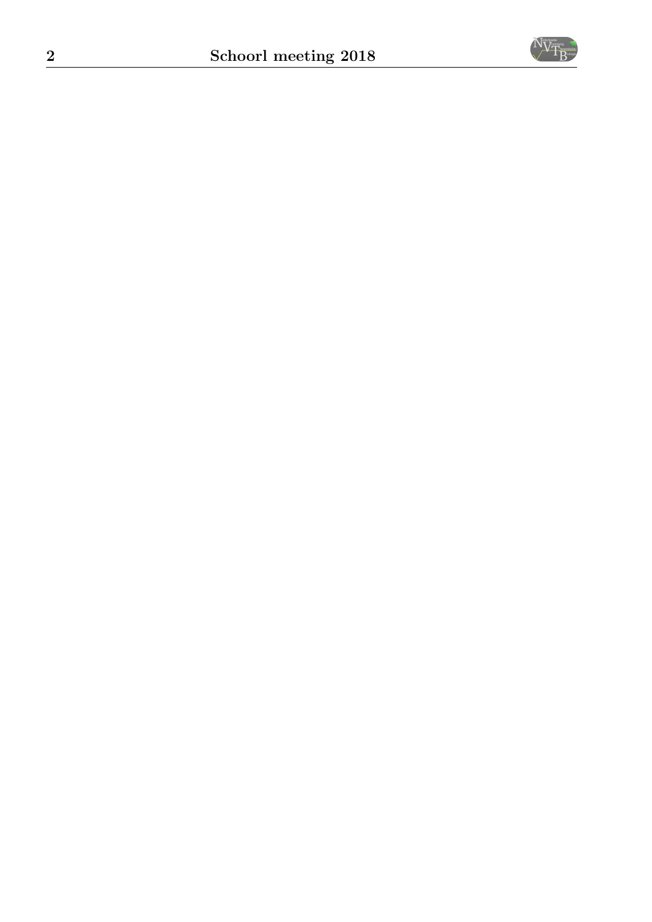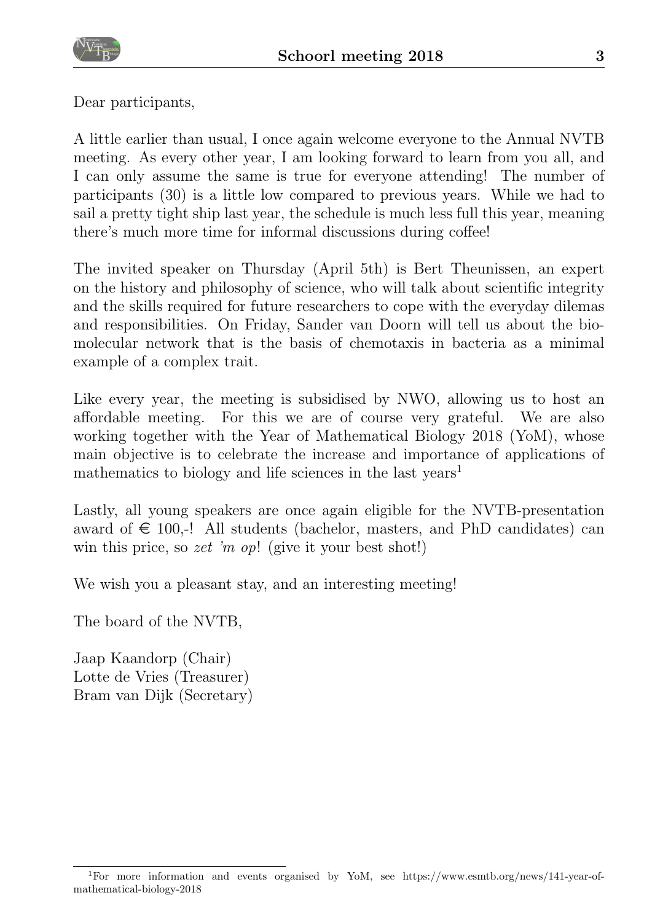

Dear participants,

A little earlier than usual, I once again welcome everyone to the Annual NVTB meeting. As every other year, I am looking forward to learn from you all, and I can only assume the same is true for everyone attending! The number of participants (30) is a little low compared to previous years. While we had to sail a pretty tight ship last year, the schedule is much less full this year, meaning there's much more time for informal discussions during coffee!

The invited speaker on Thursday (April 5th) is Bert Theunissen, an expert on the history and philosophy of science, who will talk about scientific integrity and the skills required for future researchers to cope with the everyday dilemas and responsibilities. On Friday, Sander van Doorn will tell us about the biomolecular network that is the basis of chemotaxis in bacteria as a minimal example of a complex trait.

Like every year, the meeting is subsidised by NWO, allowing us to host an affordable meeting. For this we are of course very grateful. We are also working together with the Year of Mathematical Biology 2018 (YoM), whose main objective is to celebrate the increase and importance of applications of mathematics to biology and life sciences in the last  $\text{years}^1$ 

Lastly, all young speakers are once again eligible for the NVTB-presentation award of  $\epsilon$  100,-! All students (bachelor, masters, and PhD candidates) can win this price, so *zet 'm op*! (give it your best shot!)

We wish you a pleasant stay, and an interesting meeting!

The board of the NVTB,

Jaap Kaandorp (Chair) Lotte de Vries (Treasurer) Bram van Dijk (Secretary)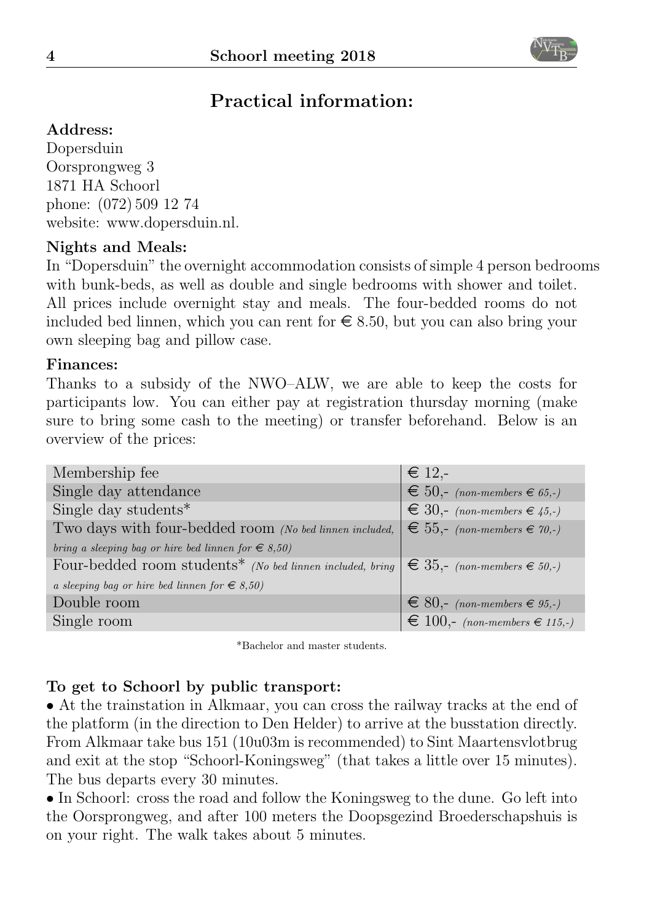

# Practical information:

#### Address:

Dopersduin Oorsprongweg 3 1871 HA Schoorl phone: (072) 509 12 74 website: www.dopersduin.nl.

#### Nights and Meals:

In "Dopersduin" the overnight accommodation consists of simple 4 person bedrooms with bunk-beds, as well as double and single bedrooms with shower and toilet. All prices include overnight stay and meals. The four-bedded rooms do not included bed linnen, which you can rent for  $\epsilon \in \{8.50, \text{ but you can also bring your}$ own sleeping bag and pillow case.

#### Finances:

Thanks to a subsidy of the NWO–ALW, we are able to keep the costs for participants low. You can either pay at registration thursday morning (make sure to bring some cash to the meeting) or transfer beforehand. Below is an overview of the prices:

| Membership fee                                                                                            | $\epsilon$ 12.                                                    |
|-----------------------------------------------------------------------------------------------------------|-------------------------------------------------------------------|
| Single day attendance                                                                                     | $\epsilon \in 50$ ,- (non-members $\epsilon$ 65,-)                |
| Single day students $*$                                                                                   | $\epsilon \in 30$ , - (non-members $\epsilon$ 45, -)              |
| Two days with four-bedded room (No bed linnen included,                                                   | $\epsilon \in 55$ ,- (non-members $\epsilon \in \mathcal{A}_0$ .) |
| bring a sleeping bag or hire bed linnen for $\in$ 8,50)                                                   |                                                                   |
| Four-bedded room students <sup>*</sup> (No bed linnen included, bring $\in$ 35,- (non-members $\in$ 50,-) |                                                                   |
| a sleeping bag or hire bed linnen for $\in$ 8,50)                                                         |                                                                   |
| Double room                                                                                               | $\epsilon \in 80$ ,- (non-members $\epsilon$ 95,-)                |
| Single room                                                                                               | $\epsilon$ 100,- (non-members $\epsilon$ 115,-)                   |

\*Bachelor and master students.

#### To get to Schoorl by public transport:

• At the trainstation in Alkmaar, you can cross the railway tracks at the end of the platform (in the direction to Den Helder) to arrive at the busstation directly. From Alkmaar take bus 151 (10u03m is recommended) to Sint Maartensvlotbrug and exit at the stop "Schoorl-Koningsweg" (that takes a little over 15 minutes). The bus departs every 30 minutes.

• In Schoorl: cross the road and follow the Koningsweg to the dune. Go left into the Oorsprongweg, and after 100 meters the Doopsgezind Broederschapshuis is on your right. The walk takes about 5 minutes.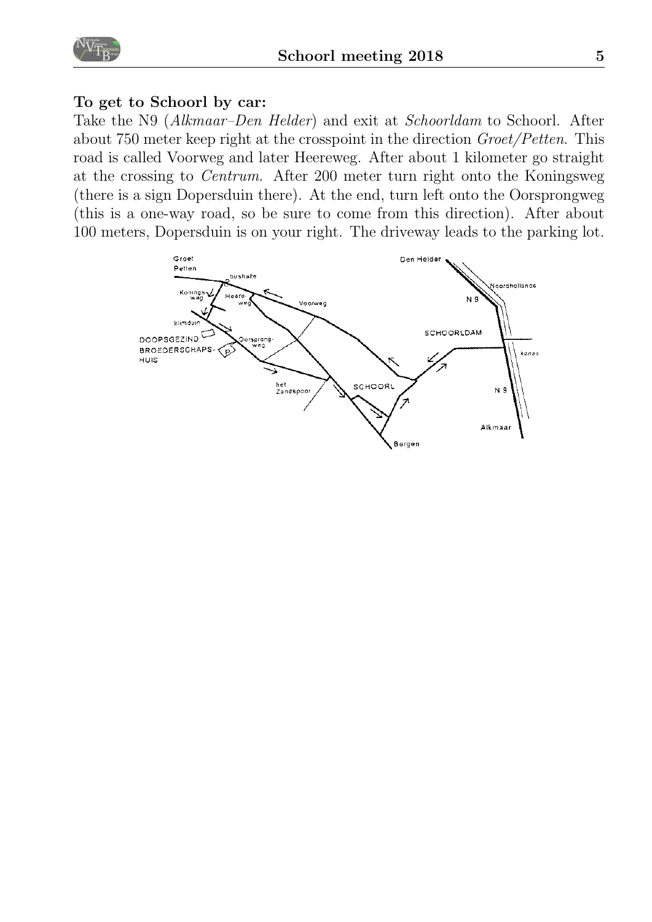

#### To get to Schoorl by car:

Take the N9 (Alkmaar–Den Helder) and exit at Schoorldam to Schoorl. After about 750 meter keep right at the crosspoint in the direction Groet/Petten. This road is called Voorweg and later Heereweg. After about 1 kilometer go straight at the crossing to Centrum. After 200 meter turn right onto the Koningsweg (there is a sign Dopersduin there). At the end, turn left onto the Oorsprongweg (this is a one-way road, so be sure to come from this direction). After about 100 meters, Dopersduin is on your right. The driveway leads to the parking lot.

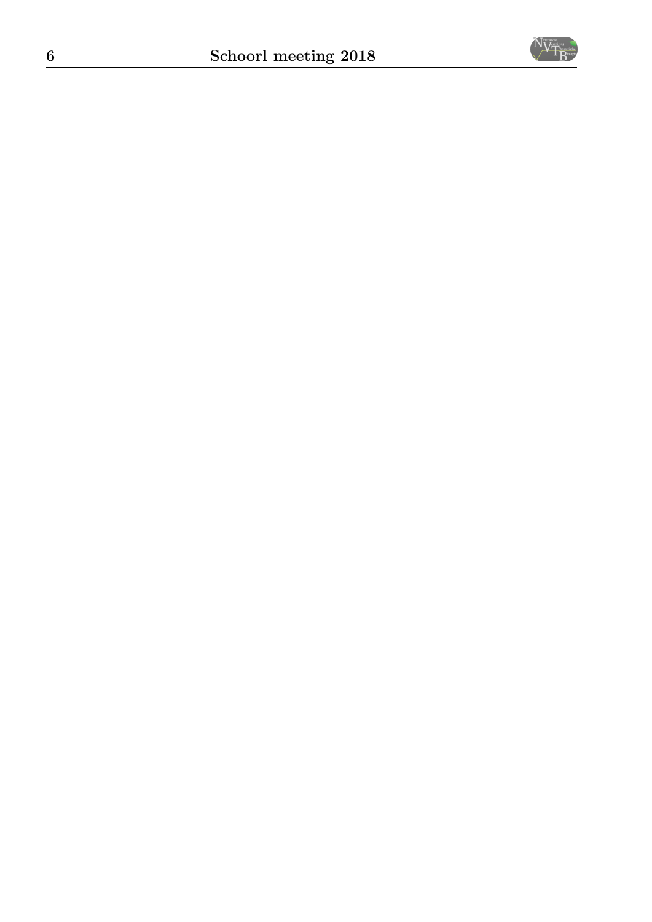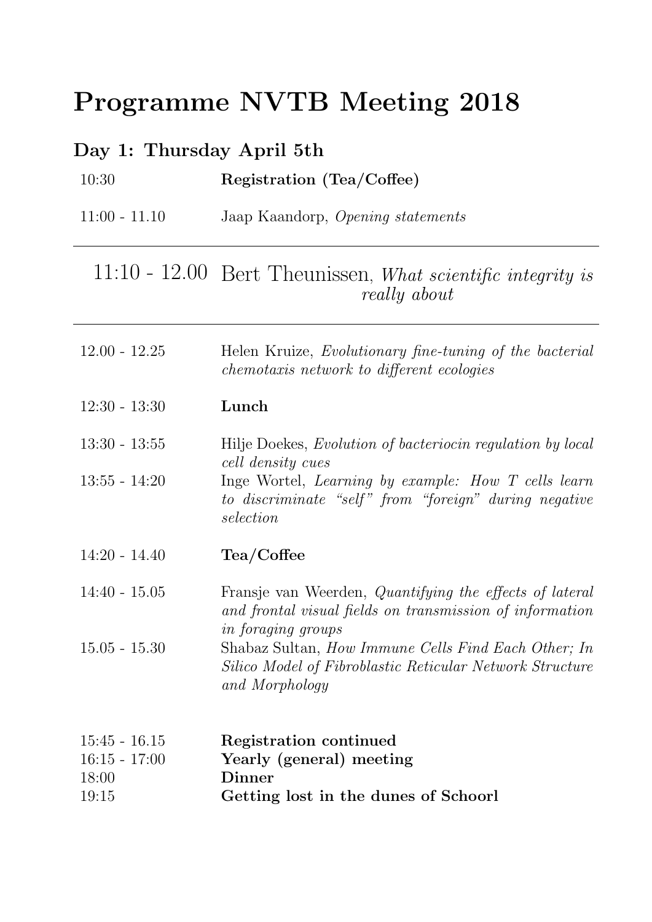# Programme NVTB Meeting 2018

| Day 1: Thursday April 5th |                                                                                                                                                  |  |  |
|---------------------------|--------------------------------------------------------------------------------------------------------------------------------------------------|--|--|
| 10:30                     | Registration (Tea/Coffee)                                                                                                                        |  |  |
| $11:00 - 11.10$           | Jaap Kaandorp, Opening statements                                                                                                                |  |  |
|                           | 11:10 - 12.00 Bert Theunissen, What scientific integrity is<br>really about                                                                      |  |  |
| $12.00 - 12.25$           | Helen Kruize, <i>Evolutionary fine-tuning of the bacterial</i><br><i>chemotaxis network to different ecologies</i>                               |  |  |
| $12:30 - 13:30$           | Lunch                                                                                                                                            |  |  |
| $13:30 - 13:55$           | Hilje Doekes, Evolution of bacteriocin regulation by local<br>cell density cues                                                                  |  |  |
| $13:55 - 14:20$           | Inge Wortel, Learning by example: How T cells learn<br>to discriminate "self" from "foreign" during negative<br>selection                        |  |  |
| $14:20 - 14.40$           | Tea/Coffee                                                                                                                                       |  |  |
| $14:40 - 15.05$           | Fransje van Weerden, Quantifying the effects of lateral<br>and frontal visual fields on transmission of information<br><i>in foraging groups</i> |  |  |
| $15.05 - 15.30$           | Shabaz Sultan, How Immune Cells Find Each Other; In<br><i>Silico Model of Fibroblastic Reticular Network Structure</i><br>and Morphology         |  |  |
| $15:45 - 16.15$           | Registration continued                                                                                                                           |  |  |
| $16:15 - 17:00$<br>18:00  | Yearly (general) meeting<br>Dinner                                                                                                               |  |  |
| 19:15                     | Getting lost in the dunes of Schoorl                                                                                                             |  |  |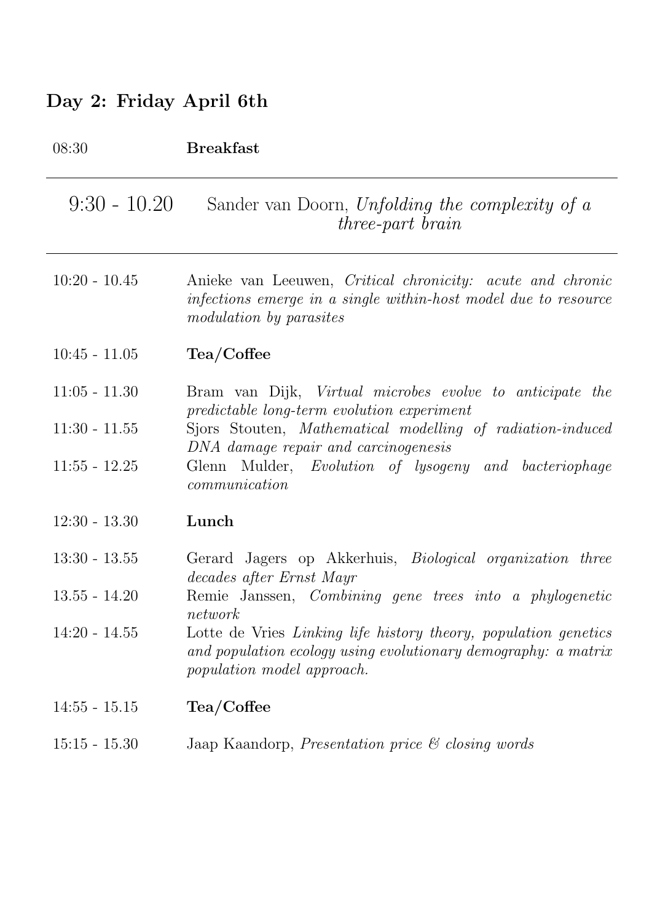# Day 2: Friday April 6th

| 08:30           | <b>Breakfast</b>                                                                                                                                                |
|-----------------|-----------------------------------------------------------------------------------------------------------------------------------------------------------------|
| $9:30 - 10.20$  | Sander van Doorn, Unfolding the complexity of a<br><i>three-part brain</i>                                                                                      |
| $10:20 - 10.45$ | Anieke van Leeuwen, Critical chronicity: acute and chronic<br>infections emerge in a single within-host model due to resource<br><i>modulation by parasites</i> |
| $10:45 - 11.05$ | Tea/Coffee                                                                                                                                                      |
| $11:05 - 11.30$ | Bram van Dijk, Virtual microbes evolve to anticipate the<br>predictable long-term evolution experiment                                                          |
| $11:30 - 11.55$ | Sjors Stouten, Mathematical modelling of radiation-induced<br>DNA damage repair and carcinogenesis                                                              |
| $11:55 - 12.25$ | Glenn Mulder, <i>Evolution of lysogeny and bacteriophage</i><br>communication                                                                                   |
| $12:30 - 13.30$ | Lunch                                                                                                                                                           |
| $13:30 - 13.55$ | Gerard Jagers op Akkerhuis, <i>Biological organization three</i><br>decades after Ernst Mayr                                                                    |
| $13.55 - 14.20$ | Remie Janssen, Combining gene trees into a phylogenetic<br>network                                                                                              |
| $14:20 - 14.55$ | Lotte de Vries Linking life history theory, population genetics<br>and population ecology using evolutionary demography: a matrix<br>population model approach. |
| $14:55 - 15.15$ | Tea/Coffee                                                                                                                                                      |
| $15:15 - 15.30$ | Jaap Kaandorp, <i>Presentation price</i> $\mathscr$ closing words                                                                                               |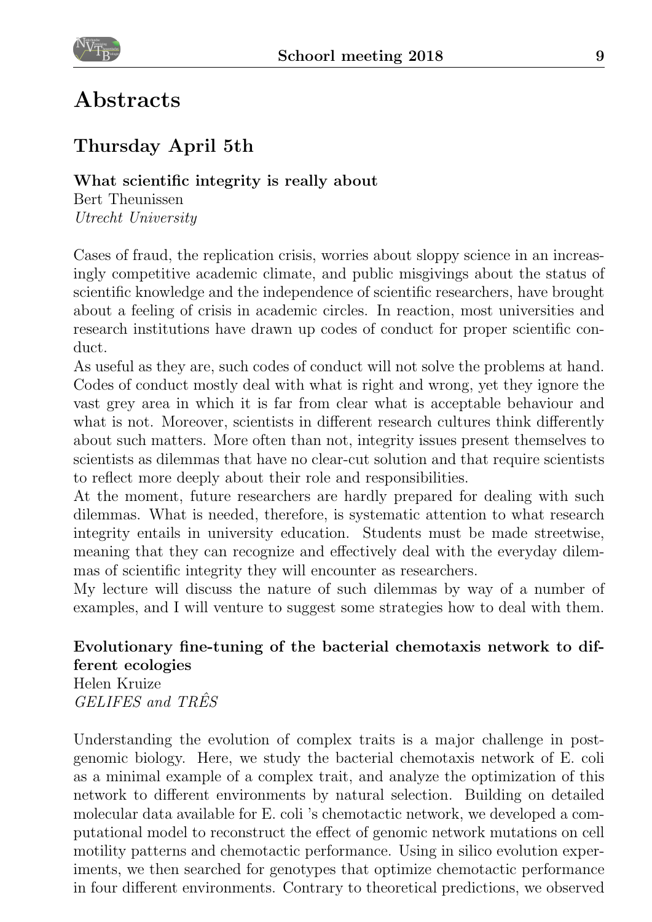



# Abstracts

# Thursday April 5th

#### What scientific integrity is really about

Bert Theunissen Utrecht University

Cases of fraud, the replication crisis, worries about sloppy science in an increasingly competitive academic climate, and public misgivings about the status of scientific knowledge and the independence of scientific researchers, have brought about a feeling of crisis in academic circles. In reaction, most universities and research institutions have drawn up codes of conduct for proper scientific conduct.

As useful as they are, such codes of conduct will not solve the problems at hand. Codes of conduct mostly deal with what is right and wrong, yet they ignore the vast grey area in which it is far from clear what is acceptable behaviour and what is not. Moreover, scientists in different research cultures think differently about such matters. More often than not, integrity issues present themselves to scientists as dilemmas that have no clear-cut solution and that require scientists to reflect more deeply about their role and responsibilities.

At the moment, future researchers are hardly prepared for dealing with such dilemmas. What is needed, therefore, is systematic attention to what research integrity entails in university education. Students must be made streetwise, meaning that they can recognize and effectively deal with the everyday dilemmas of scientific integrity they will encounter as researchers.

My lecture will discuss the nature of such dilemmas by way of a number of examples, and I will venture to suggest some strategies how to deal with them.

#### Evolutionary fine-tuning of the bacterial chemotaxis network to different ecologies

Helen Kruize GELIFES and TRÊS

Understanding the evolution of complex traits is a major challenge in postgenomic biology. Here, we study the bacterial chemotaxis network of E. coli as a minimal example of a complex trait, and analyze the optimization of this network to different environments by natural selection. Building on detailed molecular data available for E. coli 's chemotactic network, we developed a computational model to reconstruct the effect of genomic network mutations on cell motility patterns and chemotactic performance. Using in silico evolution experiments, we then searched for genotypes that optimize chemotactic performance in four different environments. Contrary to theoretical predictions, we observed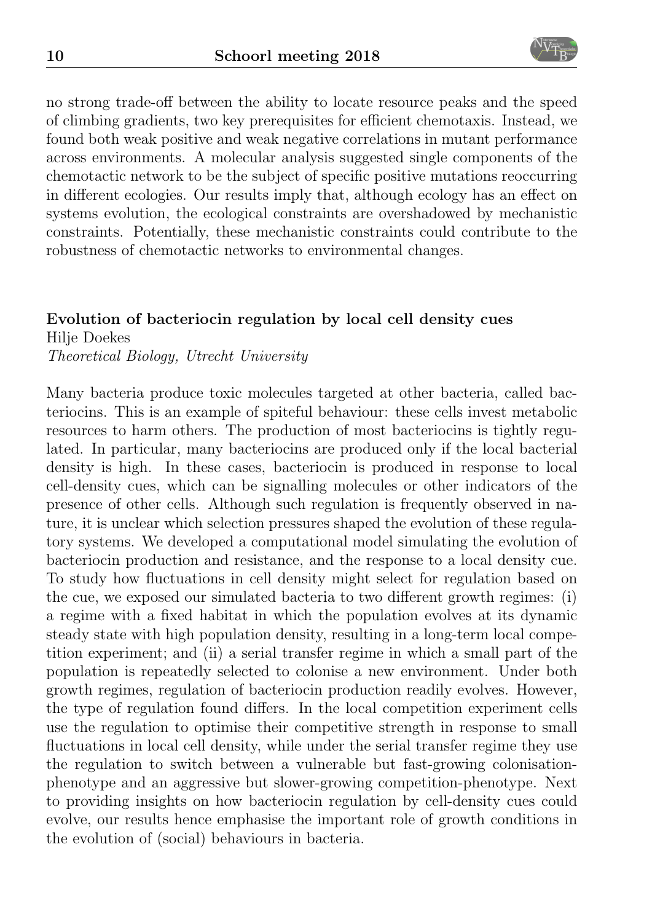

no strong trade-off between the ability to locate resource peaks and the speed of climbing gradients, two key prerequisites for efficient chemotaxis. Instead, we found both weak positive and weak negative correlations in mutant performance across environments. A molecular analysis suggested single components of the chemotactic network to be the subject of specific positive mutations reoccurring in different ecologies. Our results imply that, although ecology has an effect on systems evolution, the ecological constraints are overshadowed by mechanistic constraints. Potentially, these mechanistic constraints could contribute to the robustness of chemotactic networks to environmental changes.

#### Evolution of bacteriocin regulation by local cell density cues

Hilje Doekes Theoretical Biology, Utrecht University

Many bacteria produce toxic molecules targeted at other bacteria, called bacteriocins. This is an example of spiteful behaviour: these cells invest metabolic resources to harm others. The production of most bacteriocins is tightly regulated. In particular, many bacteriocins are produced only if the local bacterial density is high. In these cases, bacteriocin is produced in response to local cell-density cues, which can be signalling molecules or other indicators of the presence of other cells. Although such regulation is frequently observed in nature, it is unclear which selection pressures shaped the evolution of these regulatory systems. We developed a computational model simulating the evolution of bacteriocin production and resistance, and the response to a local density cue. To study how fluctuations in cell density might select for regulation based on the cue, we exposed our simulated bacteria to two different growth regimes: (i) a regime with a fixed habitat in which the population evolves at its dynamic steady state with high population density, resulting in a long-term local competition experiment; and (ii) a serial transfer regime in which a small part of the population is repeatedly selected to colonise a new environment. Under both growth regimes, regulation of bacteriocin production readily evolves. However, the type of regulation found differs. In the local competition experiment cells use the regulation to optimise their competitive strength in response to small fluctuations in local cell density, while under the serial transfer regime they use the regulation to switch between a vulnerable but fast-growing colonisationphenotype and an aggressive but slower-growing competition-phenotype. Next to providing insights on how bacteriocin regulation by cell-density cues could evolve, our results hence emphasise the important role of growth conditions in the evolution of (social) behaviours in bacteria.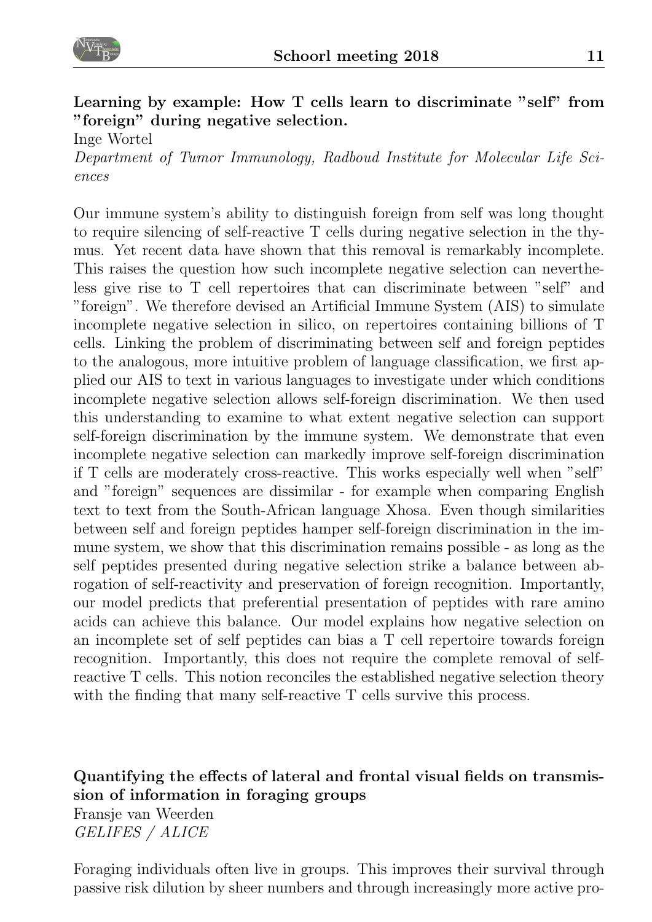

## Learning by example: How T cells learn to discriminate "self" from "foreign" during negative selection.

Inge Wortel

Department of Tumor Immunology, Radboud Institute for Molecular Life Sciences

Our immune system's ability to distinguish foreign from self was long thought to require silencing of self-reactive T cells during negative selection in the thymus. Yet recent data have shown that this removal is remarkably incomplete. This raises the question how such incomplete negative selection can nevertheless give rise to T cell repertoires that can discriminate between "self" and "foreign". We therefore devised an Artificial Immune System (AIS) to simulate incomplete negative selection in silico, on repertoires containing billions of T cells. Linking the problem of discriminating between self and foreign peptides to the analogous, more intuitive problem of language classification, we first applied our AIS to text in various languages to investigate under which conditions incomplete negative selection allows self-foreign discrimination. We then used this understanding to examine to what extent negative selection can support self-foreign discrimination by the immune system. We demonstrate that even incomplete negative selection can markedly improve self-foreign discrimination if T cells are moderately cross-reactive. This works especially well when "self" and "foreign" sequences are dissimilar - for example when comparing English text to text from the South-African language Xhosa. Even though similarities between self and foreign peptides hamper self-foreign discrimination in the immune system, we show that this discrimination remains possible - as long as the self peptides presented during negative selection strike a balance between abrogation of self-reactivity and preservation of foreign recognition. Importantly, our model predicts that preferential presentation of peptides with rare amino acids can achieve this balance. Our model explains how negative selection on an incomplete set of self peptides can bias a T cell repertoire towards foreign recognition. Importantly, this does not require the complete removal of selfreactive T cells. This notion reconciles the established negative selection theory with the finding that many self-reactive  $T$  cells survive this process.

#### Quantifying the effects of lateral and frontal visual fields on transmission of information in foraging groups

Fransje van Weerden GELIFES / ALICE

Foraging individuals often live in groups. This improves their survival through passive risk dilution by sheer numbers and through increasingly more active pro-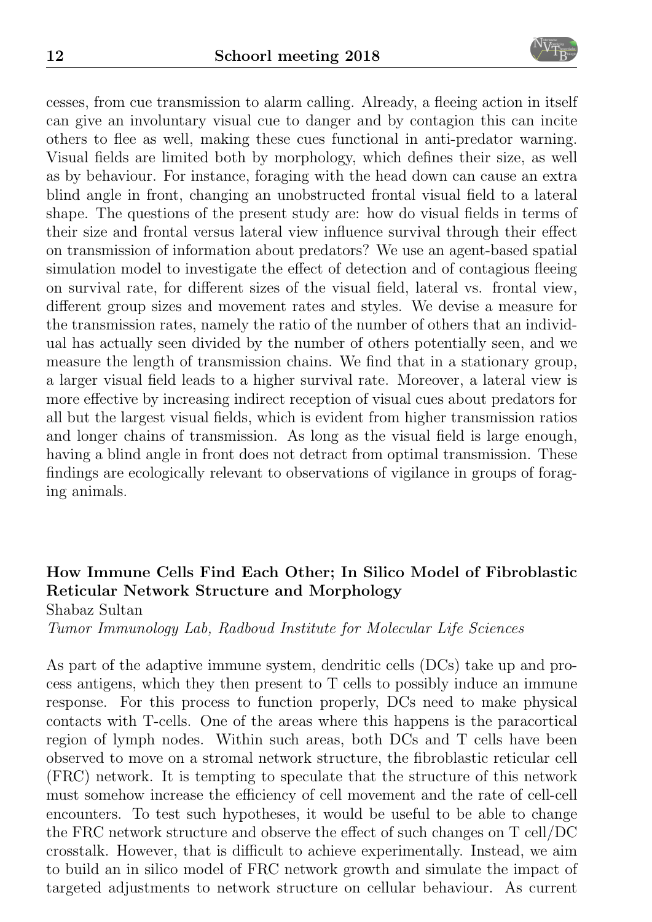

cesses, from cue transmission to alarm calling. Already, a fleeing action in itself can give an involuntary visual cue to danger and by contagion this can incite others to flee as well, making these cues functional in anti-predator warning. Visual fields are limited both by morphology, which defines their size, as well as by behaviour. For instance, foraging with the head down can cause an extra blind angle in front, changing an unobstructed frontal visual field to a lateral shape. The questions of the present study are: how do visual fields in terms of their size and frontal versus lateral view influence survival through their effect on transmission of information about predators? We use an agent-based spatial simulation model to investigate the effect of detection and of contagious fleeing on survival rate, for different sizes of the visual field, lateral vs. frontal view, different group sizes and movement rates and styles. We devise a measure for the transmission rates, namely the ratio of the number of others that an individual has actually seen divided by the number of others potentially seen, and we measure the length of transmission chains. We find that in a stationary group, a larger visual field leads to a higher survival rate. Moreover, a lateral view is more effective by increasing indirect reception of visual cues about predators for all but the largest visual fields, which is evident from higher transmission ratios and longer chains of transmission. As long as the visual field is large enough, having a blind angle in front does not detract from optimal transmission. These findings are ecologically relevant to observations of vigilance in groups of foraging animals.

#### How Immune Cells Find Each Other; In Silico Model of Fibroblastic Reticular Network Structure and Morphology Shabaz Sultan

Tumor Immunology Lab, Radboud Institute for Molecular Life Sciences

As part of the adaptive immune system, dendritic cells (DCs) take up and process antigens, which they then present to T cells to possibly induce an immune response. For this process to function properly, DCs need to make physical contacts with T-cells. One of the areas where this happens is the paracortical region of lymph nodes. Within such areas, both DCs and T cells have been observed to move on a stromal network structure, the fibroblastic reticular cell (FRC) network. It is tempting to speculate that the structure of this network must somehow increase the efficiency of cell movement and the rate of cell-cell encounters. To test such hypotheses, it would be useful to be able to change the FRC network structure and observe the effect of such changes on T cell/DC crosstalk. However, that is difficult to achieve experimentally. Instead, we aim to build an in silico model of FRC network growth and simulate the impact of targeted adjustments to network structure on cellular behaviour. As current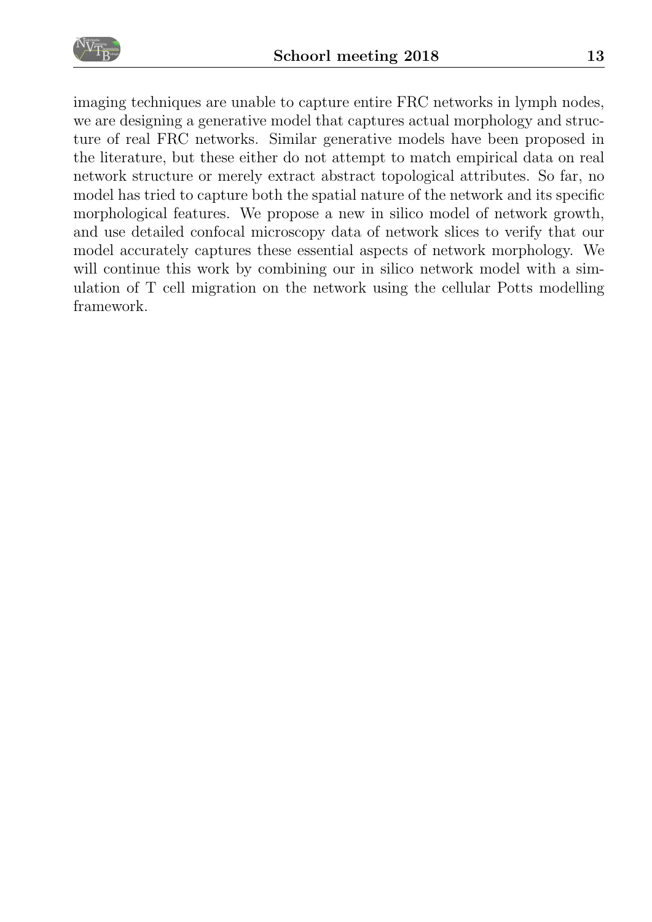

imaging techniques are unable to capture entire FRC networks in lymph nodes, we are designing a generative model that captures actual morphology and structure of real FRC networks. Similar generative models have been proposed in the literature, but these either do not attempt to match empirical data on real network structure or merely extract abstract topological attributes. So far, no model has tried to capture both the spatial nature of the network and its specific morphological features. We propose a new in silico model of network growth, and use detailed confocal microscopy data of network slices to verify that our model accurately captures these essential aspects of network morphology. We will continue this work by combining our in silico network model with a simulation of T cell migration on the network using the cellular Potts modelling framework.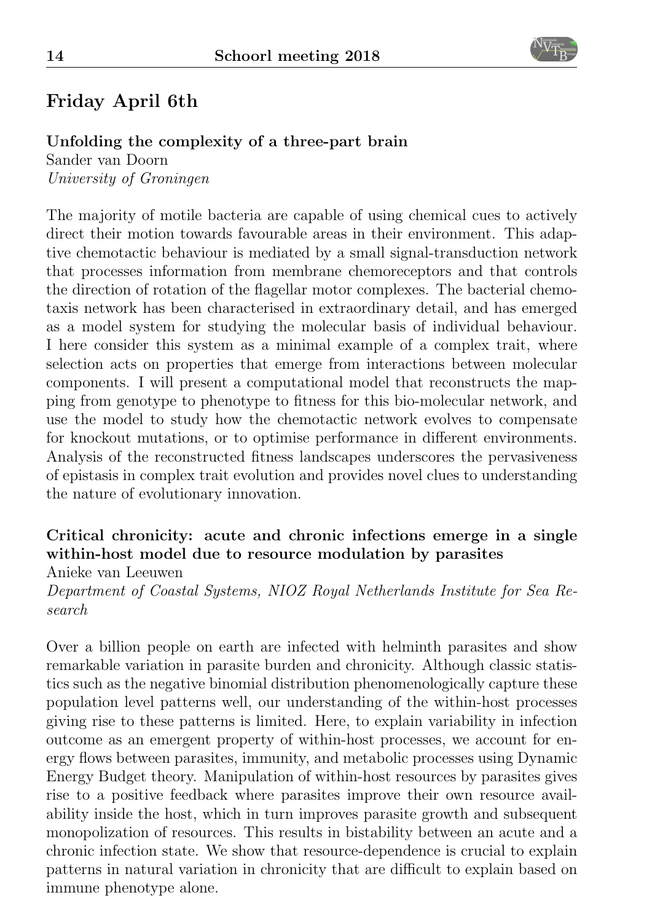

# Friday April 6th

#### Unfolding the complexity of a three-part brain

Sander van Doorn University of Groningen

The majority of motile bacteria are capable of using chemical cues to actively direct their motion towards favourable areas in their environment. This adaptive chemotactic behaviour is mediated by a small signal-transduction network that processes information from membrane chemoreceptors and that controls the direction of rotation of the flagellar motor complexes. The bacterial chemotaxis network has been characterised in extraordinary detail, and has emerged as a model system for studying the molecular basis of individual behaviour. I here consider this system as a minimal example of a complex trait, where selection acts on properties that emerge from interactions between molecular components. I will present a computational model that reconstructs the mapping from genotype to phenotype to fitness for this bio-molecular network, and use the model to study how the chemotactic network evolves to compensate for knockout mutations, or to optimise performance in different environments. Analysis of the reconstructed fitness landscapes underscores the pervasiveness of epistasis in complex trait evolution and provides novel clues to understanding the nature of evolutionary innovation.

## Critical chronicity: acute and chronic infections emerge in a single within-host model due to resource modulation by parasites

Anieke van Leeuwen Department of Coastal Systems, NIOZ Royal Netherlands Institute for Sea Research

Over a billion people on earth are infected with helminth parasites and show remarkable variation in parasite burden and chronicity. Although classic statistics such as the negative binomial distribution phenomenologically capture these population level patterns well, our understanding of the within-host processes giving rise to these patterns is limited. Here, to explain variability in infection outcome as an emergent property of within-host processes, we account for energy flows between parasites, immunity, and metabolic processes using Dynamic Energy Budget theory. Manipulation of within-host resources by parasites gives rise to a positive feedback where parasites improve their own resource availability inside the host, which in turn improves parasite growth and subsequent monopolization of resources. This results in bistability between an acute and a chronic infection state. We show that resource-dependence is crucial to explain patterns in natural variation in chronicity that are difficult to explain based on immune phenotype alone.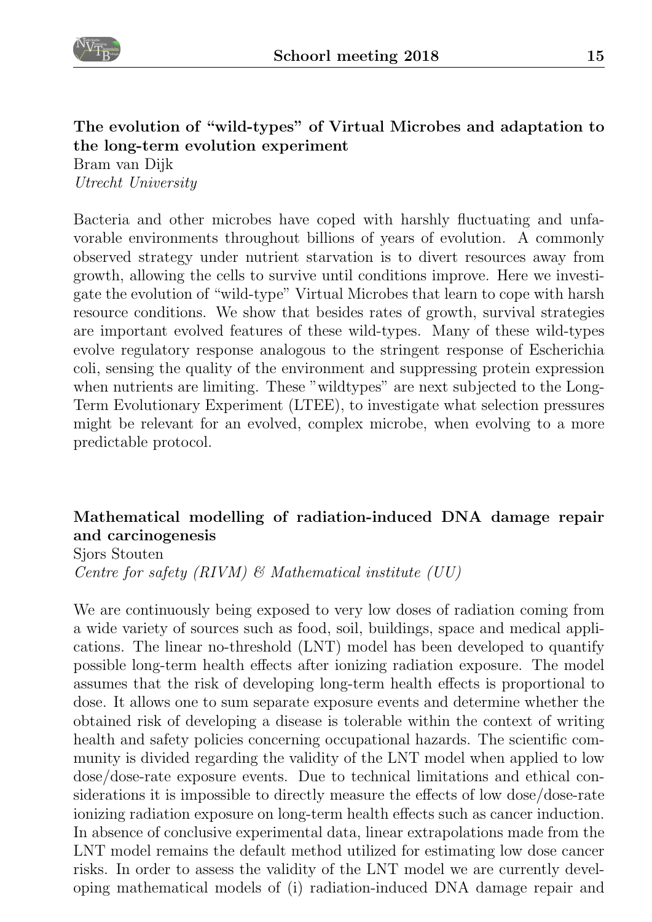

#### The evolution of "wild-types" of Virtual Microbes and adaptation to the long-term evolution experiment Bram van Dijk

Utrecht University

Bacteria and other microbes have coped with harshly fluctuating and unfavorable environments throughout billions of years of evolution. A commonly observed strategy under nutrient starvation is to divert resources away from growth, allowing the cells to survive until conditions improve. Here we investigate the evolution of "wild-type" Virtual Microbes that learn to cope with harsh resource conditions. We show that besides rates of growth, survival strategies are important evolved features of these wild-types. Many of these wild-types evolve regulatory response analogous to the stringent response of Escherichia coli, sensing the quality of the environment and suppressing protein expression when nutrients are limiting. These "wildtypes" are next subjected to the Long-Term Evolutionary Experiment (LTEE), to investigate what selection pressures might be relevant for an evolved, complex microbe, when evolving to a more predictable protocol.

### Mathematical modelling of radiation-induced DNA damage repair and carcinogenesis

Sjors Stouten Centre for safety  $(RIVM)$  & Mathematical institute  $(UU)$ 

We are continuously being exposed to very low doses of radiation coming from a wide variety of sources such as food, soil, buildings, space and medical applications. The linear no-threshold (LNT) model has been developed to quantify possible long-term health effects after ionizing radiation exposure. The model assumes that the risk of developing long-term health effects is proportional to dose. It allows one to sum separate exposure events and determine whether the obtained risk of developing a disease is tolerable within the context of writing health and safety policies concerning occupational hazards. The scientific community is divided regarding the validity of the LNT model when applied to low dose/dose-rate exposure events. Due to technical limitations and ethical considerations it is impossible to directly measure the effects of low dose/dose-rate ionizing radiation exposure on long-term health effects such as cancer induction. In absence of conclusive experimental data, linear extrapolations made from the LNT model remains the default method utilized for estimating low dose cancer risks. In order to assess the validity of the LNT model we are currently developing mathematical models of (i) radiation-induced DNA damage repair and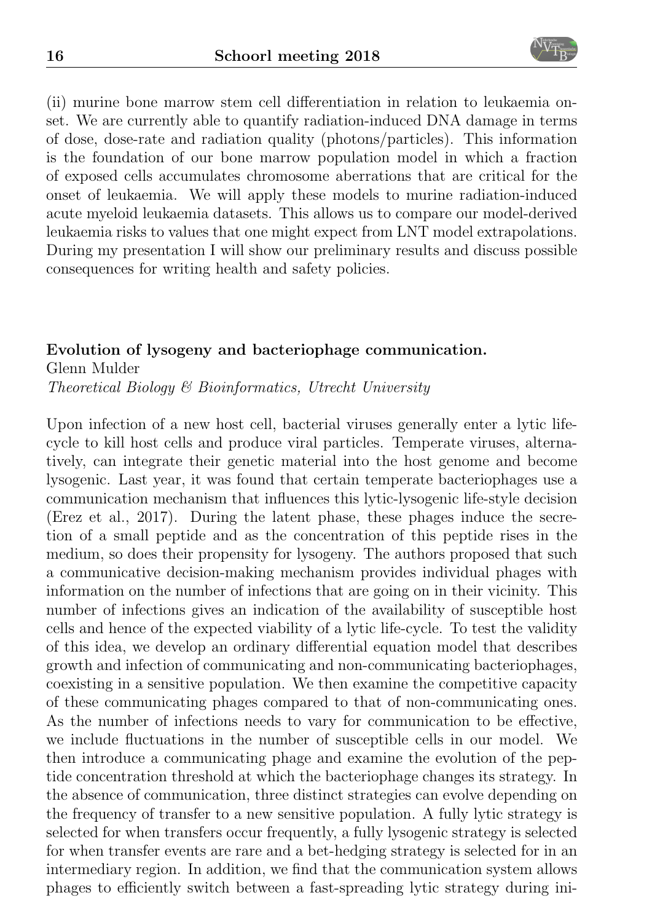

(ii) murine bone marrow stem cell differentiation in relation to leukaemia onset. We are currently able to quantify radiation-induced DNA damage in terms of dose, dose-rate and radiation quality (photons/particles). This information is the foundation of our bone marrow population model in which a fraction of exposed cells accumulates chromosome aberrations that are critical for the onset of leukaemia. We will apply these models to murine radiation-induced acute myeloid leukaemia datasets. This allows us to compare our model-derived leukaemia risks to values that one might expect from LNT model extrapolations. During my presentation I will show our preliminary results and discuss possible consequences for writing health and safety policies.

#### Evolution of lysogeny and bacteriophage communication.

Glenn Mulder Theoretical Biology & Bioinformatics, Utrecht University

Upon infection of a new host cell, bacterial viruses generally enter a lytic lifecycle to kill host cells and produce viral particles. Temperate viruses, alternatively, can integrate their genetic material into the host genome and become lysogenic. Last year, it was found that certain temperate bacteriophages use a communication mechanism that influences this lytic-lysogenic life-style decision (Erez et al., 2017). During the latent phase, these phages induce the secretion of a small peptide and as the concentration of this peptide rises in the medium, so does their propensity for lysogeny. The authors proposed that such a communicative decision-making mechanism provides individual phages with information on the number of infections that are going on in their vicinity. This number of infections gives an indication of the availability of susceptible host cells and hence of the expected viability of a lytic life-cycle. To test the validity of this idea, we develop an ordinary differential equation model that describes growth and infection of communicating and non-communicating bacteriophages, coexisting in a sensitive population. We then examine the competitive capacity of these communicating phages compared to that of non-communicating ones. As the number of infections needs to vary for communication to be effective, we include fluctuations in the number of susceptible cells in our model. We then introduce a communicating phage and examine the evolution of the peptide concentration threshold at which the bacteriophage changes its strategy. In the absence of communication, three distinct strategies can evolve depending on the frequency of transfer to a new sensitive population. A fully lytic strategy is selected for when transfers occur frequently, a fully lysogenic strategy is selected for when transfer events are rare and a bet-hedging strategy is selected for in an intermediary region. In addition, we find that the communication system allows phages to efficiently switch between a fast-spreading lytic strategy during ini-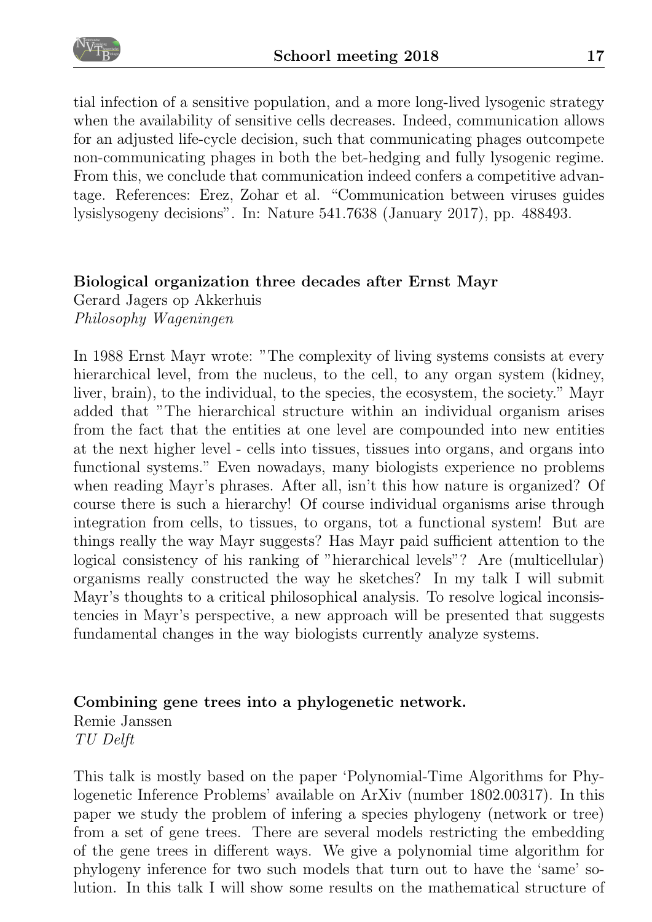

tial infection of a sensitive population, and a more long-lived lysogenic strategy when the availability of sensitive cells decreases. Indeed, communication allows for an adjusted life-cycle decision, such that communicating phages outcompete non-communicating phages in both the bet-hedging and fully lysogenic regime. From this, we conclude that communication indeed confers a competitive advantage. References: Erez, Zohar et al. "Communication between viruses guides lysislysogeny decisions". In: Nature 541.7638 (January 2017), pp. 488493.

#### Biological organization three decades after Ernst Mayr

Gerard Jagers op Akkerhuis Philosophy Wageningen

In 1988 Ernst Mayr wrote: "The complexity of living systems consists at every hierarchical level, from the nucleus, to the cell, to any organ system (kidney, liver, brain), to the individual, to the species, the ecosystem, the society." Mayr added that "The hierarchical structure within an individual organism arises from the fact that the entities at one level are compounded into new entities at the next higher level - cells into tissues, tissues into organs, and organs into functional systems." Even nowadays, many biologists experience no problems when reading Mayr's phrases. After all, isn't this how nature is organized? Of course there is such a hierarchy! Of course individual organisms arise through integration from cells, to tissues, to organs, tot a functional system! But are things really the way Mayr suggests? Has Mayr paid sufficient attention to the logical consistency of his ranking of "hierarchical levels"? Are (multicellular) organisms really constructed the way he sketches? In my talk I will submit Mayr's thoughts to a critical philosophical analysis. To resolve logical inconsistencies in Mayr's perspective, a new approach will be presented that suggests fundamental changes in the way biologists currently analyze systems.

#### Combining gene trees into a phylogenetic network.

Remie Janssen TU Delft

This talk is mostly based on the paper 'Polynomial-Time Algorithms for Phylogenetic Inference Problems' available on ArXiv (number 1802.00317). In this paper we study the problem of infering a species phylogeny (network or tree) from a set of gene trees. There are several models restricting the embedding of the gene trees in different ways. We give a polynomial time algorithm for phylogeny inference for two such models that turn out to have the 'same' solution. In this talk I will show some results on the mathematical structure of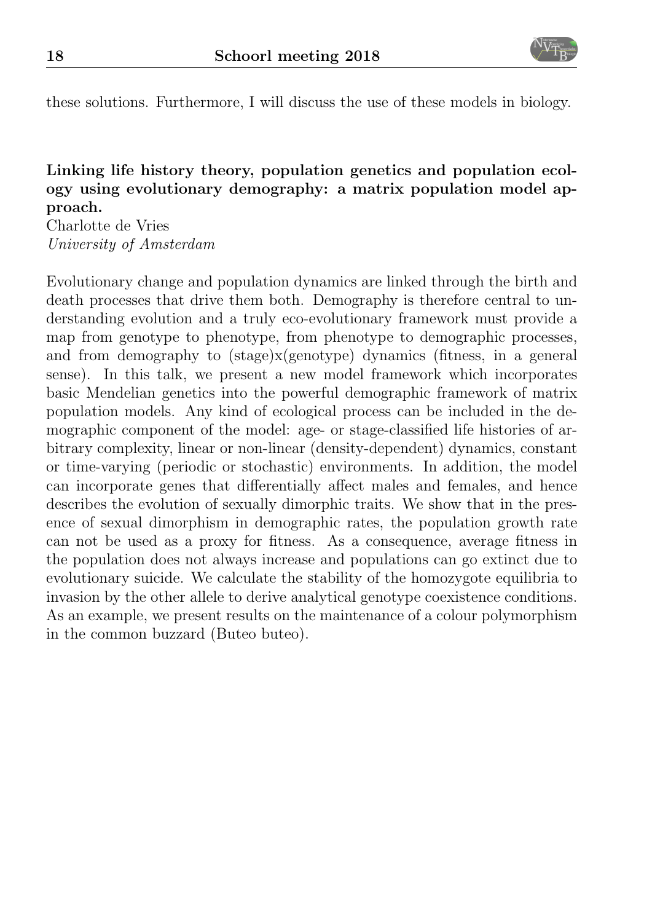

these solutions. Furthermore, I will discuss the use of these models in biology.

#### Linking life history theory, population genetics and population ecology using evolutionary demography: a matrix population model approach.

Charlotte de Vries University of Amsterdam

Evolutionary change and population dynamics are linked through the birth and death processes that drive them both. Demography is therefore central to understanding evolution and a truly eco-evolutionary framework must provide a map from genotype to phenotype, from phenotype to demographic processes, and from demography to (stage)x(genotype) dynamics (fitness, in a general sense). In this talk, we present a new model framework which incorporates basic Mendelian genetics into the powerful demographic framework of matrix population models. Any kind of ecological process can be included in the demographic component of the model: age- or stage-classified life histories of arbitrary complexity, linear or non-linear (density-dependent) dynamics, constant or time-varying (periodic or stochastic) environments. In addition, the model can incorporate genes that differentially affect males and females, and hence describes the evolution of sexually dimorphic traits. We show that in the presence of sexual dimorphism in demographic rates, the population growth rate can not be used as a proxy for fitness. As a consequence, average fitness in the population does not always increase and populations can go extinct due to evolutionary suicide. We calculate the stability of the homozygote equilibria to invasion by the other allele to derive analytical genotype coexistence conditions. As an example, we present results on the maintenance of a colour polymorphism in the common buzzard (Buteo buteo).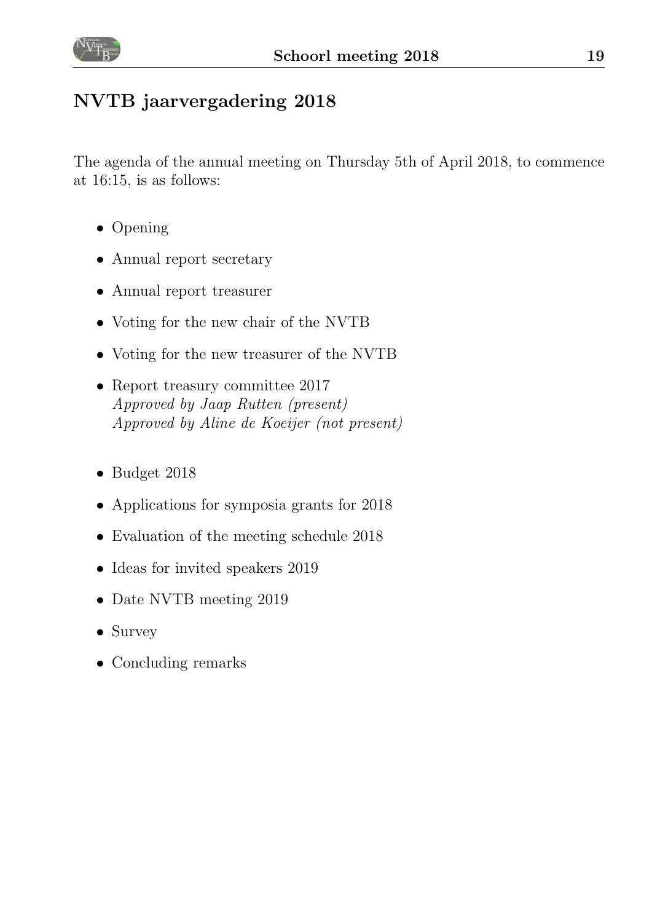

# NVTB jaarvergadering 2018

The agenda of the annual meeting on Thursday 5th of April 2018, to commence at 16:15, is as follows:

- Opening
- Annual report secretary
- Annual report treasurer
- Voting for the new chair of the NVTB
- Voting for the new treasurer of the NVTB
- Report treasury committee 2017 Approved by Jaap Rutten (present) Approved by Aline de Koeijer (not present)
- Budget 2018
- Applications for symposia grants for 2018
- Evaluation of the meeting schedule 2018
- Ideas for invited speakers 2019
- Date NVTB meeting 2019
- Survey
- Concluding remarks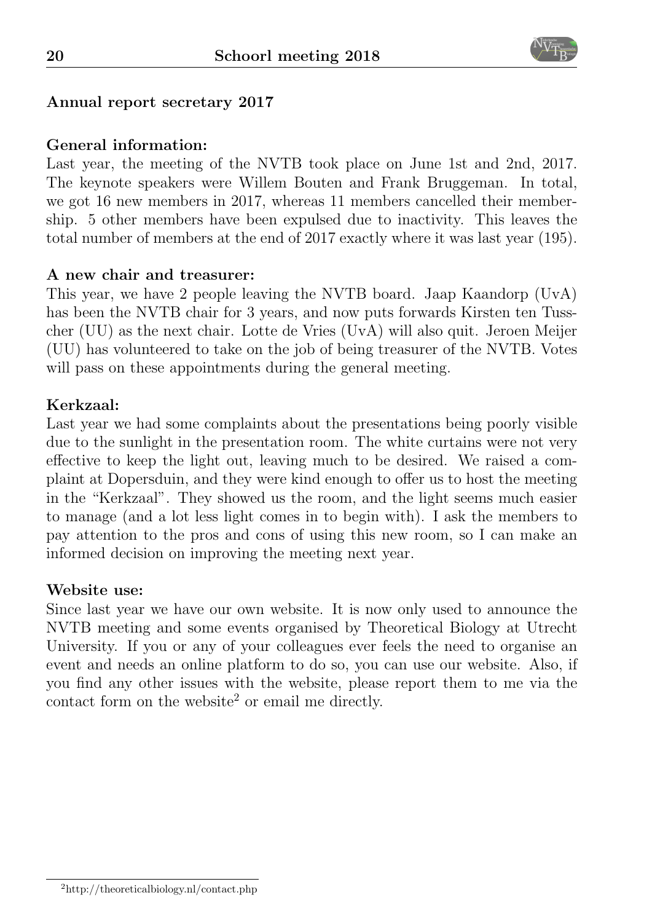

#### Annual report secretary 2017

#### General information:

Last year, the meeting of the NVTB took place on June 1st and 2nd, 2017. The keynote speakers were Willem Bouten and Frank Bruggeman. In total, we got 16 new members in 2017, whereas 11 members cancelled their membership. 5 other members have been expulsed due to inactivity. This leaves the total number of members at the end of 2017 exactly where it was last year (195).

#### A new chair and treasurer:

This year, we have 2 people leaving the NVTB board. Jaap Kaandorp (UvA) has been the NVTB chair for 3 years, and now puts forwards Kirsten ten Tusscher (UU) as the next chair. Lotte de Vries (UvA) will also quit. Jeroen Meijer (UU) has volunteered to take on the job of being treasurer of the NVTB. Votes will pass on these appointments during the general meeting.

#### Kerkzaal:

Last year we had some complaints about the presentations being poorly visible due to the sunlight in the presentation room. The white curtains were not very effective to keep the light out, leaving much to be desired. We raised a complaint at Dopersduin, and they were kind enough to offer us to host the meeting in the "Kerkzaal". They showed us the room, and the light seems much easier to manage (and a lot less light comes in to begin with). I ask the members to pay attention to the pros and cons of using this new room, so I can make an informed decision on improving the meeting next year.

#### Website use:

Since last year we have our own website. It is now only used to announce the NVTB meeting and some events organised by Theoretical Biology at Utrecht University. If you or any of your colleagues ever feels the need to organise an event and needs an online platform to do so, you can use our website. Also, if you find any other issues with the website, please report them to me via the contact form on the website<sup>2</sup> or email me directly.

<sup>2</sup>http://theoreticalbiology.nl/contact.php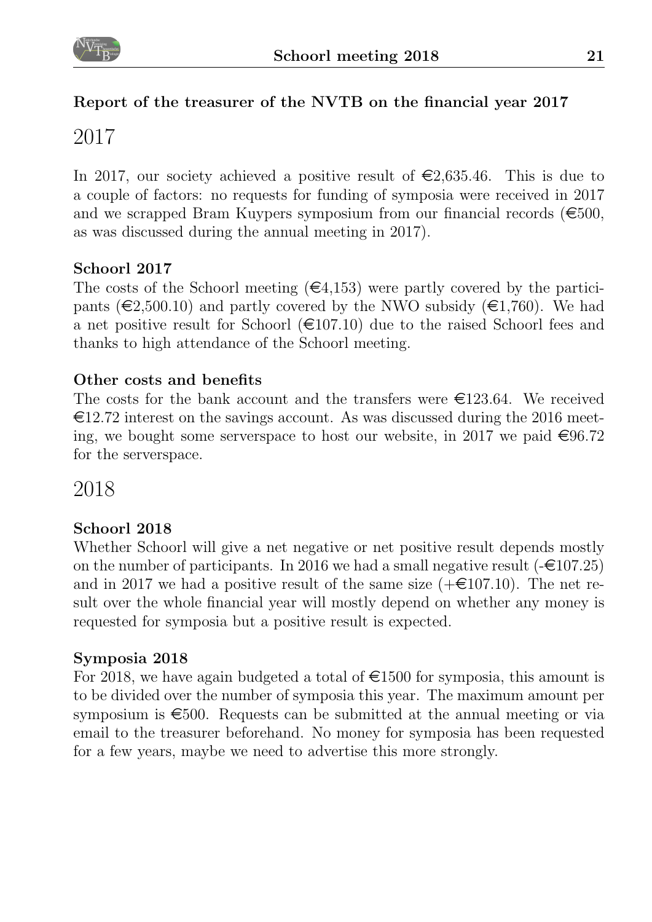

# 2017

In 2017, our society achieved a positive result of  $\epsilon$ 2.635.46. This is due to a couple of factors: no requests for funding of symposia were received in 2017 and we scrapped Bram Kuypers symposium from our financial records  $(\epsilon 500,$ as was discussed during the annual meeting in 2017).

#### Schoorl 2017

The costs of the Schoorl meeting  $(\epsilon 4.153)$  were partly covered by the participants ( $\epsilon$ 2,500.10) and partly covered by the NWO subsidy ( $\epsilon$ 1,760). We had a net positive result for Schoorl  $(\epsilon 107.10)$  due to the raised Schoorl fees and thanks to high attendance of the Schoorl meeting.

#### Other costs and benefits

The costs for the bank account and the transfers were  $\epsilon$ 123.64. We received  $\epsilon$ 12.72 interest on the savings account. As was discussed during the 2016 meeting, we bought some serverspace to host our website, in 2017 we paid  $\epsilon$ 96.72 for the serverspace.

2018

#### Schoorl 2018

Whether Schoorl will give a net negative or net positive result depends mostly on the number of participants. In 2016 we had a small negative result  $(-\epsilon 107.25)$ and in 2017 we had a positive result of the same size  $(+\epsilon 107.10)$ . The net result over the whole financial year will mostly depend on whether any money is requested for symposia but a positive result is expected.

#### Symposia 2018

For 2018, we have again budgeted a total of  $\epsilon$ 1500 for symposia, this amount is to be divided over the number of symposia this year. The maximum amount per symposium is  $\epsilon$ 500. Requests can be submitted at the annual meeting or via email to the treasurer beforehand. No money for symposia has been requested for a few years, maybe we need to advertise this more strongly.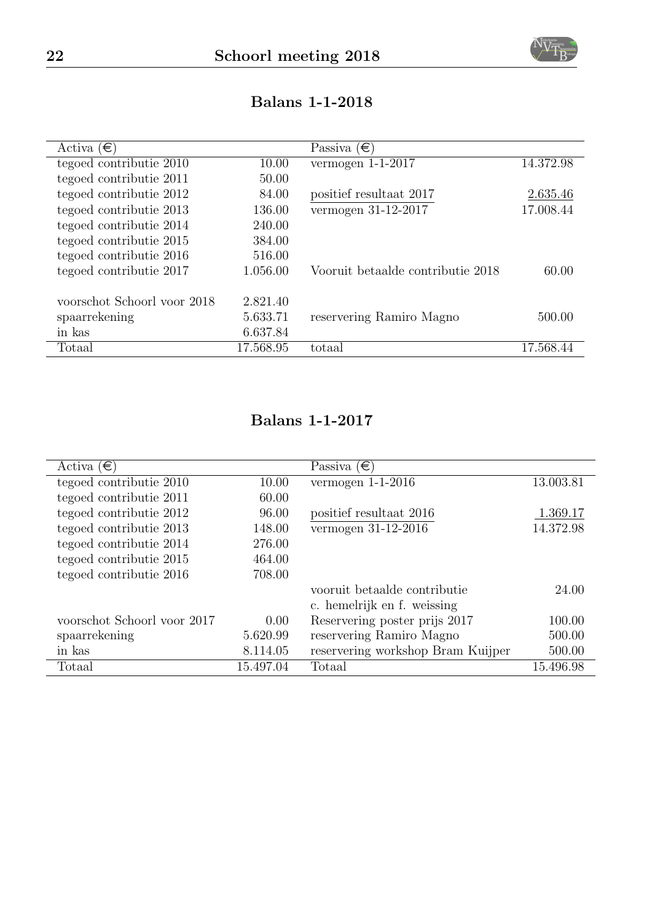

| Activa $(\epsilon)$         |           | Passiva $(\epsilon)$              |           |
|-----------------------------|-----------|-----------------------------------|-----------|
| tegoed contributie 2010     | 10.00     | vermogen $1-1-2017$               | 14.372.98 |
| tegoed contributie 2011     | 50.00     |                                   |           |
| tegoed contributie 2012     | 84.00     | positief resultant 2017           | 2.635.46  |
| tegoed contributie 2013     | 136.00    | vermogen 31-12-2017               | 17.008.44 |
| tegoed contributie 2014     | 240.00    |                                   |           |
| tegoed contributie 2015     | 384.00    |                                   |           |
| tegoed contributie 2016     | 516.00    |                                   |           |
| tegoed contributie 2017     | 1.056.00  | Vooruit betaalde contributie 2018 | 60.00     |
|                             |           |                                   |           |
| voorschot Schoorl voor 2018 | 2.821.40  |                                   |           |
| spaarrekening               | 5.633.71  | reservering Ramiro Magno          | 500.00    |
| in kas                      | 6.637.84  |                                   |           |
| Totaal                      | 17.568.95 | totaal                            | 17.568.44 |

## Balans 1-1-2018

## Balans 1-1-2017

| Activa $(\epsilon)$         |           | Passiva $(\epsilon)$              |           |
|-----------------------------|-----------|-----------------------------------|-----------|
| tegoed contributie 2010     | 10.00     | vermogen $1-1-2016$               | 13.003.81 |
| tegoed contributie 2011     | 60.00     |                                   |           |
| tegoed contributie 2012     | 96.00     | positief resultant 2016           | 1.369.17  |
| tegoed contributie 2013     | 148.00    | vermogen 31-12-2016               | 14.372.98 |
| tegoed contributie 2014     | 276.00    |                                   |           |
| tegoed contributie 2015     | 464.00    |                                   |           |
| tegoed contributie 2016     | 708.00    |                                   |           |
|                             |           | vooruit betaalde contributie      | 24.00     |
|                             |           | c. hemelrijk en f. weissing       |           |
| voorschot Schoorl voor 2017 | 0.00      | Reservering poster prijs 2017     | 100.00    |
| spaarrekening               | 5.620.99  | reservering Ramiro Magno          | 500.00    |
| in kas                      | 8.114.05  | reservering workshop Bram Kuijper | 500.00    |
| Totaal                      | 15.497.04 | Totaal                            | 15.496.98 |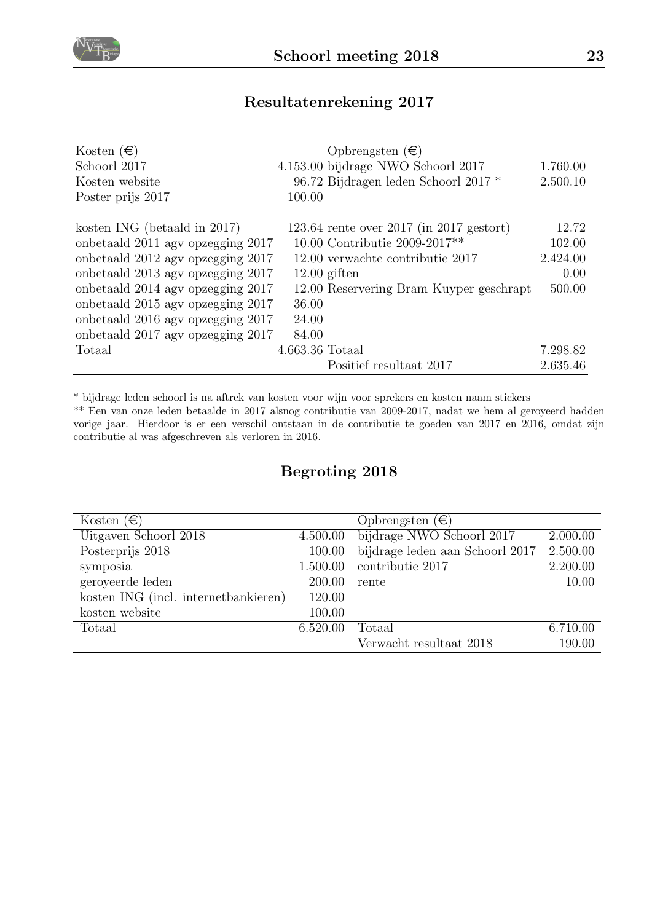#### Resultatenrekening 2017

| Kosten $(\epsilon)$               |                 | Opbrengsten $(\epsilon)$                       |          |
|-----------------------------------|-----------------|------------------------------------------------|----------|
| Schoorl 2017                      |                 | 4.153.00 bijdrage NWO Schoorl 2017             | 1.760.00 |
| Kosten website                    |                 | 96.72 Bijdragen leden Schoorl 2017 *           | 2.500.10 |
| Poster prijs 2017                 | 100.00          |                                                |          |
|                                   |                 |                                                |          |
| kosten ING (betaald in 2017)      |                 | $123.64$ rente over $2017$ (in $2017$ gestort) | 12.72    |
| onbetaald 2011 agy opzegging 2017 |                 | 10.00 Contributie 2009-2017**                  | 102.00   |
| onbetaald 2012 agv opzegging 2017 |                 | 12.00 verwachte contributie 2017               | 2.424.00 |
| onbetaald 2013 agv opzegging 2017 |                 | $12.00$ giften                                 | 0.00     |
| onbetaald 2014 agv opzegging 2017 |                 | 12.00 Reservering Bram Kuyper geschrapt        | 500.00   |
| onbetaald 2015 agv opzegging 2017 | 36.00           |                                                |          |
| onbetaald 2016 agy opzegging 2017 | 24.00           |                                                |          |
| onbetaald 2017 agv opzegging 2017 | 84.00           |                                                |          |
| Totaal                            | 4.663.36 Totaal |                                                | 7.298.82 |
|                                   |                 | Positief resultant 2017                        | 2.635.46 |

\* bijdrage leden schoorl is na aftrek van kosten voor wijn voor sprekers en kosten naam stickers

\*\* Een van onze leden betaalde in 2017 alsnog contributie van 2009-2017, nadat we hem al geroyeerd hadden vorige jaar. Hierdoor is er een verschil ontstaan in de contributie te goeden van 2017 en 2016, omdat zijn contributie al was afgeschreven als verloren in 2016.

#### Begroting 2018

| Kosten $(\epsilon)$                  |          | Opbrengsten $(\epsilon)$        |          |
|--------------------------------------|----------|---------------------------------|----------|
| Uitgaven Schoorl 2018                | 4.500.00 | bijdrage NWO Schoorl 2017       | 2.000.00 |
| Posterprijs 2018                     | 100.00   | bijdrage leden aan Schoorl 2017 | 2.500.00 |
| symposia                             | 1.500.00 | contributie 2017                | 2.200.00 |
| geroyeerde leden                     | 200.00   | rente                           | 10.00    |
| kosten ING (incl. internetbankieren) | 120.00   |                                 |          |
| kosten website                       | 100.00   |                                 |          |
| Totaal                               | 6.520.00 | Totaal                          | 6.710.00 |
|                                      |          | Verwacht resultaat 2018         | 190.00   |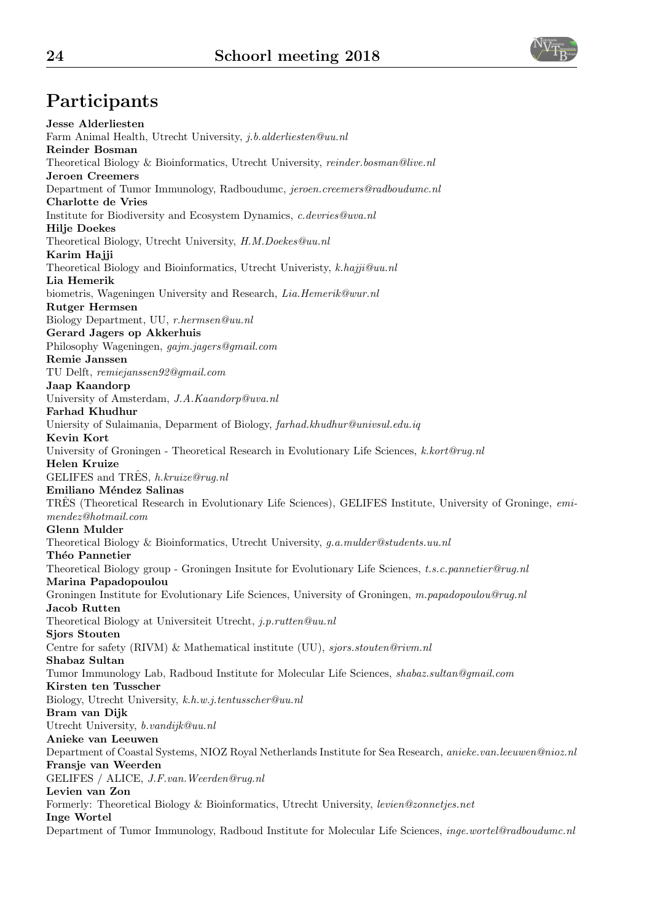

# Participants

Jesse Alderliesten Farm Animal Health, Utrecht University, j.b.alderliesten@uu.nl Reinder Bosman Theoretical Biology & Bioinformatics, Utrecht University, reinder.bosman@live.nl Jeroen Creemers Department of Tumor Immunology, Radboudumc, jeroen.creemers@radboudumc.nl Charlotte de Vries Institute for Biodiversity and Ecosystem Dynamics, c.devries@uva.nl Hilje Doekes Theoretical Biology, Utrecht University, H.M.Doekes@uu.nl Karim Hajji Theoretical Biology and Bioinformatics, Utrecht Univeristy, k.hajji@uu.nl Lia Hemerik biometris, Wageningen University and Research, Lia.Hemerik@wur.nl Rutger Hermsen Biology Department, UU, r.hermsen@uu.nl Gerard Jagers op Akkerhuis Philosophy Wageningen, gajm.jagers@gmail.com Remie Janssen TU Delft, remiejanssen92@gmail.com Jaap Kaandorp University of Amsterdam, J.A.Kaandorp@uva.nl Farhad Khudhur Uniersity of Sulaimania, Deparment of Biology, farhad.khudhur@univsul.edu.iq Kevin Kort University of Groningen - Theoretical Research in Evolutionary Life Sciences, k.kort@rug.nl Helen Kruize GELIFES and TRES,  $h.kruize@rug.nl$ Emiliano Méndez Salinas TRÊS (Theoretical Research in Evolutionary Life Sciences), GELIFES Institute, University of Groninge, emimendez@hotmail.com Glenn Mulder Theoretical Biology & Bioinformatics, Utrecht University, g.a.mulder@students.uu.nl Théo Pannetier Theoretical Biology group - Groningen Insitute for Evolutionary Life Sciences, t.s.c.pannetier@rug.nl Marina Papadopoulou Groningen Institute for Evolutionary Life Sciences, University of Groningen, m.papadopoulou@rug.nl Jacob Rutten Theoretical Biology at Universiteit Utrecht, j.p.rutten@uu.nl Sjors Stouten Centre for safety (RIVM) & Mathematical institute (UU), sjors.stouten@rivm.nl Shabaz Sultan Tumor Immunology Lab, Radboud Institute for Molecular Life Sciences, shabaz.sultan@gmail.com Kirsten ten Tusscher Biology, Utrecht University, k.h.w.j.tentusscher@uu.nl Bram van Dijk Utrecht University, b.vandijk@uu.nl Anieke van Leeuwen Department of Coastal Systems, NIOZ Royal Netherlands Institute for Sea Research, anieke.van.leeuwen@nioz.nl Fransje van Weerden GELIFES / ALICE, J.F.van.Weerden@rug.nl Levien van Zon Formerly: Theoretical Biology & Bioinformatics, Utrecht University, levien@zonnetjes.net Inge Wortel Department of Tumor Immunology, Radboud Institute for Molecular Life Sciences, inge.wortel@radboudumc.nl